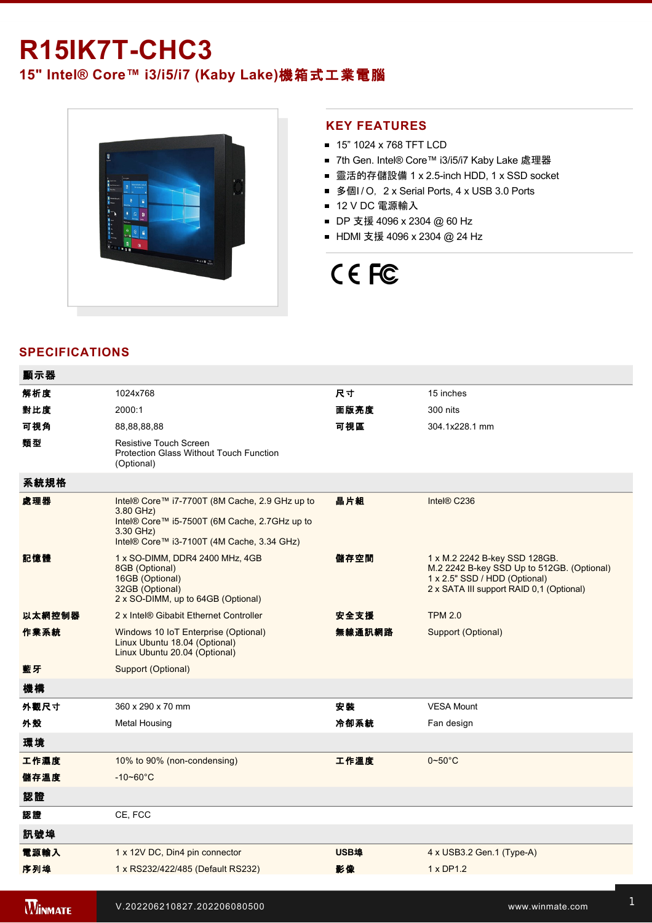## **R15IK7T-CHC3**

### **15" Intel® Core™ i3/i5/i7 (Kaby Lake)**機箱式工業電腦



### **KEY FEATURES**

- 15" 1024 x 768 TFT LCD
- 7th Gen. Intel® Core™ i3/i5/i7 Kaby Lake 處理器
- 靈活的存儲設備 1 x 2.5-inch HDD, 1 x SSD socket
- 多個I/O, 2 x Serial Ports, 4 x USB 3.0 Ports
- 12 V DC 電源輸入
- DP 支援 4096 x 2304 @ 60 Hz
- HDMI 支援 4096 x 2304 @ 24 Hz

# CE FC

### **SPECIFICATIONS**

| 顯示器            |                                                                                                                                                                         |             |                                                                                                                                                          |
|----------------|-------------------------------------------------------------------------------------------------------------------------------------------------------------------------|-------------|----------------------------------------------------------------------------------------------------------------------------------------------------------|
| 解析度            | 1024x768                                                                                                                                                                | 尺寸          | 15 inches                                                                                                                                                |
| 對比度            | 2000:1                                                                                                                                                                  | 面版亮度        | 300 nits                                                                                                                                                 |
| 可視角            | 88,88,88,88                                                                                                                                                             | 可視區         | 304.1x228.1 mm                                                                                                                                           |
| 類型             | Resistive Touch Screen<br><b>Protection Glass Without Touch Function</b><br>(Optional)                                                                                  |             |                                                                                                                                                          |
| 系統規格           |                                                                                                                                                                         |             |                                                                                                                                                          |
| 處理器            | Intel® Core™ i7-7700T (8M Cache, 2.9 GHz up to<br>3.80 GHz)<br>Intel® Core™ i5-7500T (6M Cache, 2.7GHz up to<br>3.30 GHz)<br>Intel® Core™ i3-7100T (4M Cache, 3.34 GHz) | 晶片組         | Intel® C236                                                                                                                                              |
| 記憶體            | 1 x SO-DIMM, DDR4 2400 MHz, 4GB<br>8GB (Optional)<br>16GB (Optional)<br>32GB (Optional)<br>2 x SO-DIMM, up to 64GB (Optional)                                           | 儲存空間        | 1 x M.2 2242 B-key SSD 128GB.<br>M.2 2242 B-key SSD Up to 512GB. (Optional)<br>1 x 2.5" SSD / HDD (Optional)<br>2 x SATA III support RAID 0,1 (Optional) |
| 以太網控制器         | 2 x Intel® Gibabit Ethernet Controller                                                                                                                                  | 安全支援        | <b>TPM 2.0</b>                                                                                                                                           |
| 作業系統           | Windows 10 IoT Enterprise (Optional)<br>Linux Ubuntu 18.04 (Optional)<br>Linux Ubuntu 20.04 (Optional)                                                                  | 無線通訊網路      | Support (Optional)                                                                                                                                       |
| 藍牙             | Support (Optional)                                                                                                                                                      |             |                                                                                                                                                          |
| 機構             |                                                                                                                                                                         |             |                                                                                                                                                          |
| 外觀尺寸           | 360 x 290 x 70 mm                                                                                                                                                       | 安裝          | <b>VESA Mount</b>                                                                                                                                        |
| 外殼             | <b>Metal Housing</b>                                                                                                                                                    | 冷卻系統        | Fan design                                                                                                                                               |
| 環境             |                                                                                                                                                                         |             |                                                                                                                                                          |
| 工作濕度           | 10% to 90% (non-condensing)                                                                                                                                             | 工作溫度        | $0\nightharpoonup 50^\circ C$                                                                                                                            |
| 儲存溫度           | $-10 - 60^{\circ}$ C                                                                                                                                                    |             |                                                                                                                                                          |
| 認證             |                                                                                                                                                                         |             |                                                                                                                                                          |
| 認證             | CE, FCC                                                                                                                                                                 |             |                                                                                                                                                          |
| 訊號埠            |                                                                                                                                                                         |             |                                                                                                                                                          |
| 電源輸入           | 1 x 12V DC, Din4 pin connector                                                                                                                                          | <b>USB埠</b> | 4 x USB3.2 Gen.1 (Type-A)                                                                                                                                |
| 序列埠            | 1 x RS232/422/485 (Default RS232)                                                                                                                                       | 影像          | 1 x DP1.2                                                                                                                                                |
|                |                                                                                                                                                                         |             |                                                                                                                                                          |
| <b>WINMATE</b> | V.202206210827.202206080500                                                                                                                                             |             | www.winmate.com                                                                                                                                          |